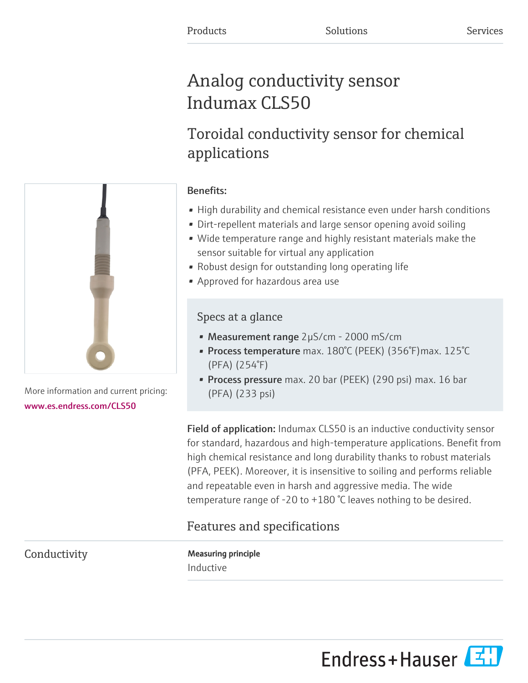# Analog conductivity sensor Indumax CLS50

# Toroidal conductivity sensor for chemical applications

# Benefits:

- High durability and chemical resistance even under harsh conditions
- Dirt-repellent materials and large sensor opening avoid soiling
- Wide temperature range and highly resistant materials make the sensor suitable for virtual any application
- Robust design for outstanding long operating life
- Approved for hazardous area use

## Specs at a glance

- Measurement range 2µS/cm 2000 mS/cm
- Process temperature max. 180°C (PEEK) (356°F)max. 125°C (PFA) (254°F)
- Process pressure max. 20 bar (PEEK) (290 psi) max. 16 bar (PFA) (233 psi)

Field of application: Indumax CLS50 is an inductive conductivity sensor for standard, hazardous and high-temperature applications. Benefit from high chemical resistance and long durability thanks to robust materials (PFA, PEEK). Moreover, it is insensitive to soiling and performs reliable and repeatable even in harsh and aggressive media. The wide temperature range of -20 to +180 °C leaves nothing to be desired.

# Features and specifications

Conductivity **Measuring principle** Inductive



More information and current pricing: [www.es.endress.com/CLS50](https://www.es.endress.com/CLS50)

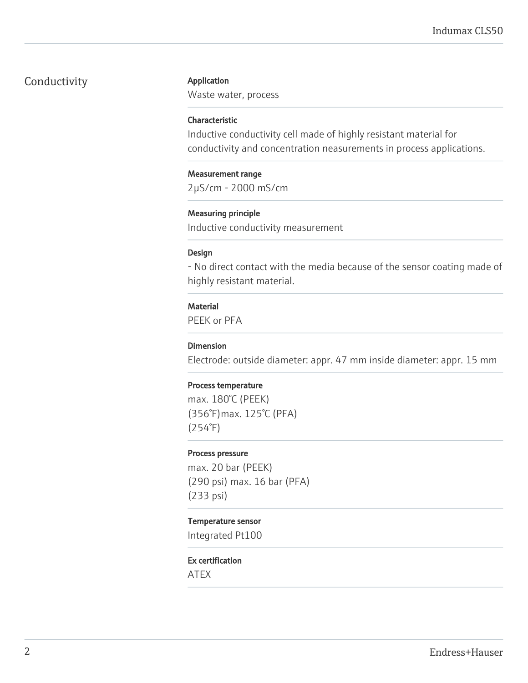## Conductivity **Application**

Waste water, process

#### Characteristic

Inductive conductivity cell made of highly resistant material for conductivity and concentration neasurements in process applications.

#### Measurement range

2µS/cm - 2000 mS/cm

#### Measuring principle

Inductive conductivity measurement

#### Design

- No direct contact with the media because of the sensor coating made of highly resistant material.

#### **Material**

PEEK or PFA

#### Dimension

Electrode: outside diameter: appr. 47 mm inside diameter: appr. 15 mm

#### Process temperature

max. 180°C (PEEK) (356°F)max. 125°C (PFA) (254°F)

#### Process pressure

max. 20 bar (PEEK) (290 psi) max. 16 bar (PFA) (233 psi)

#### Temperature sensor

Integrated Pt100

### Ex certification

ATEX